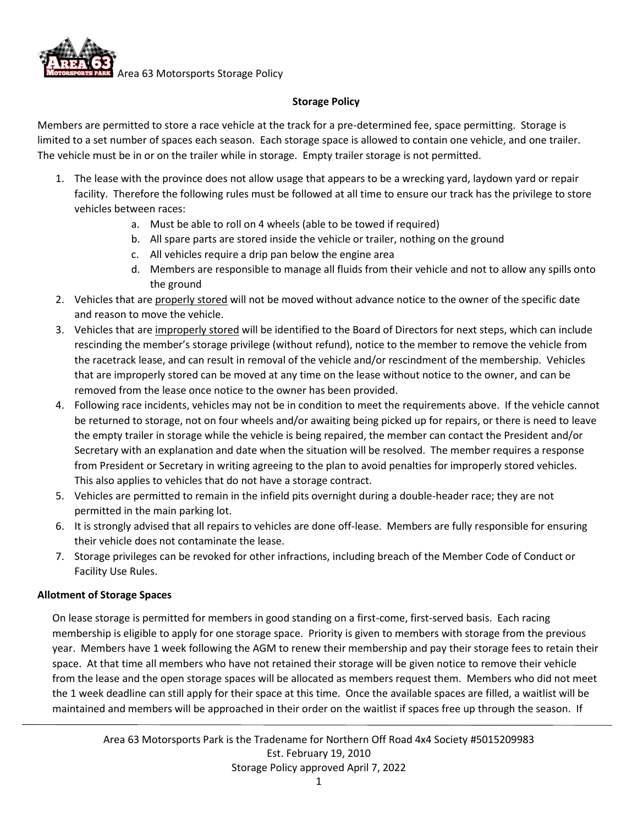

## **Storage Policy**

Members are permitted to store a race vehicle at the track for a pre-determined fee, space permitting. Storage is limited to a set number of spaces each season. Each storage space is allowed to contain one vehicle, and one trailer. The vehicle must be in or on the trailer while in storage. Empty trailer storage is not permitted.

- 1. The lease with the province does not allow usage that appears to be a wrecking yard, laydown yard or repair facility. Therefore the following rules must be followed at all time to ensure our track has the privilege to store vehicles between races:
	- a. Must be able to roll on 4 wheels (able to be towed if required)
	- b. All spare parts are stored inside the vehicle or trailer, nothing on the ground
	- c. All vehicles require a drip pan below the engine area
	- d. Members are responsible to manage all fluids from their vehicle and not to allow any spills onto the ground
- 2. Vehicles that are properly stored will not be moved without advance notice to the owner of the specific date and reason to move the vehicle.
- 3. Vehicles that are improperly stored will be identified to the Board of Directors for next steps, which can include rescinding the member's storage privilege (without refund), notice to the member to remove the vehicle from the racetrack lease, and can result in removal of the vehicle and/or rescindment of the membership. Vehicles that are improperly stored can be moved at any time on the lease without notice to the owner, and can be removed from the lease once notice to the owner has been provided.
- 4. Following race incidents, vehicles may not be in condition to meet the requirements above. If the vehicle cannot be returned to storage, not on four wheels and/or awaiting being picked up for repairs, or there is need to leave the empty trailer in storage while the vehicle is being repaired, the member can contact the President and/or Secretary with an explanation and date when the situation will be resolved. The member requires a response from President or Secretary in writing agreeing to the plan to avoid penalties for improperly stored vehicles. This also applies to vehicles that do not have a storage contract.
- 5. Vehicles are permitted to remain in the infield pits overnight during a double-header race; they are not permitted in the main parking lot.
- 6. It is strongly advised that all repairs to vehicles are done off-lease. Members are fully responsible for ensuring their vehicle does not contaminate the lease.
- 7. Storage privileges can be revoked for other infractions, including breach of the Member Code of Conduct or Facility Use Rules.

## **Allotment of Storage Spaces**

On lease storage is permitted for members in good standing on a first-come, first-served basis. Each racing membership is eligible to apply for one storage space. Priority is given to members with storage from the previous year. Members have 1 week following the AGM to renew their membership and pay their storage fees to retain their space. At that time all members who have not retained their storage will be given notice to remove their vehicle from the lease and the open storage spaces will be allocated as members request them. Members who did not meet the 1 week deadline can still apply for their space at this time. Once the available spaces are filled, a waitlist will be maintained and members will be approached in their order on the waitlist if spaces free up through the season. If